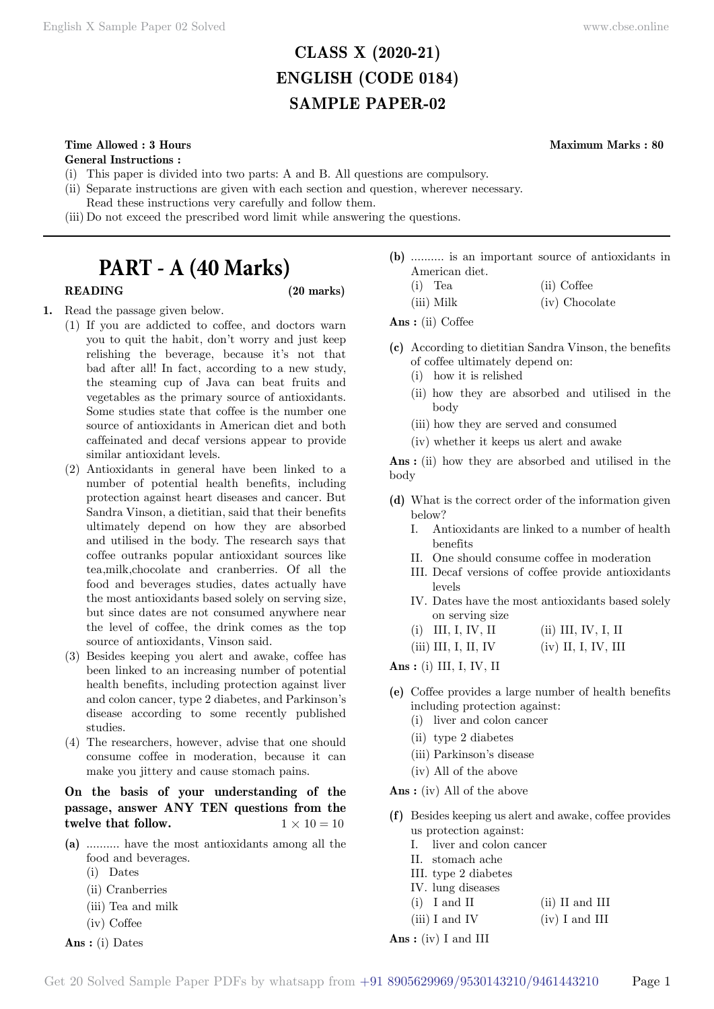## **CLASS X (2020-21) ENGLISH (CODE 0184) SAMPLE PAPER-02**

## **Time Allowed : 3 Hours Maximum Marks : 80**

**General Instructions :**

- (i) This paper is divided into two parts: A and B. All questions are compulsory.
- (ii) Separate instructions are given with each section and question, wherever necessary.
- Read these instructions very carefully and follow them.
- (iii) Do not exceed the prescribed word limit while answering the questions.

# **PART - A (40 Marks)**

## **READING (20 marks)**

- **1.** Read the passage given below.
	- (1) If you are addicted to coffee, and doctors warn you to quit the habit, don't worry and just keep relishing the beverage, because it's not that bad after all! In fact, according to a new study, the steaming cup of Java can beat fruits and vegetables as the primary source of antioxidants. Some studies state that coffee is the number one source of antioxidants in American diet and both caffeinated and decaf versions appear to provide similar antioxidant levels.
	- (2) Antioxidants in general have been linked to a number of potential health benefits, including protection against heart diseases and cancer. But Sandra Vinson, a dietitian, said that their benefits ultimately depend on how they are absorbed and utilised in the body. The research says that coffee outranks popular antioxidant sources like tea,milk,chocolate and cranberries. Of all the food and beverages studies, dates actually have the most antioxidants based solely on serving size, but since dates are not consumed anywhere near the level of coffee, the drink comes as the top source of antioxidants, Vinson said.
	- (3) Besides keeping you alert and awake, coffee has been linked to an increasing number of potential health benefits, including protection against liver and colon cancer, type 2 diabetes, and Parkinson's disease according to some recently published studies.
	- (4) The researchers, however, advise that one should consume coffee in moderation, because it can make you jittery and cause stomach pains.

## **On the basis of your understanding of the passage, answer ANY TEN questions from the twelve that follow.**  $1 \times 10 = 10$

- **(a)** .......... have the most antioxidants among all the food and beverages.
	- (i) Dates
	- (ii) Cranberries
	- (iii) Tea and milk
	- (iv) Coffee
- **Ans :** (i) Dates

**(b)** .......... is an important source of antioxidants in American diet.

| $(i)$ Tea  | (ii) Coffee    |
|------------|----------------|
| (iii) Milk | (iv) Chocolate |

 **Ans :** (ii) Coffee

- **(c)** According to dietitian Sandra Vinson, the benefits of coffee ultimately depend on:
	- (i) how it is relished
	- (ii) how they are absorbed and utilised in the body
	- (iii) how they are served and consumed
	- (iv) whether it keeps us alert and awake

 **Ans :** (ii) how they are absorbed and utilised in the body

- **(d)** What is the correct order of the information given below?
	- I. Antioxidants are linked to a number of health benefits
	- II. One should consume coffee in moderation
	- III. Decaf versions of coffee provide antioxidants levels
	- IV. Dates have the most antioxidants based solely on serving size
	- (i) III, I, IV, II (ii) III, IV, I, II
	- (iii) III, I, II, IV (iv) II, I, IV, III

 **Ans :** (i) III, I, IV, II

- **(e)** Coffee provides a large number of health benefits including protection against:
	- (i) liver and colon cancer
	- (ii) type 2 diabetes
	- (iii) Parkinson's disease
	- (iv) All of the above

 **Ans :** (iv) All of the above

- **(f)** Besides keeping us alert and awake, coffee provides us protection against:
	- I. liver and colon cancer
	- II. stomach ache
	- III. type 2 diabetes
	- IV. lung diseases
	- (i) I and II (ii) II and III
	- $(iii) I and IV$   $(iv) I and III$
- **Ans :** (iv) I and III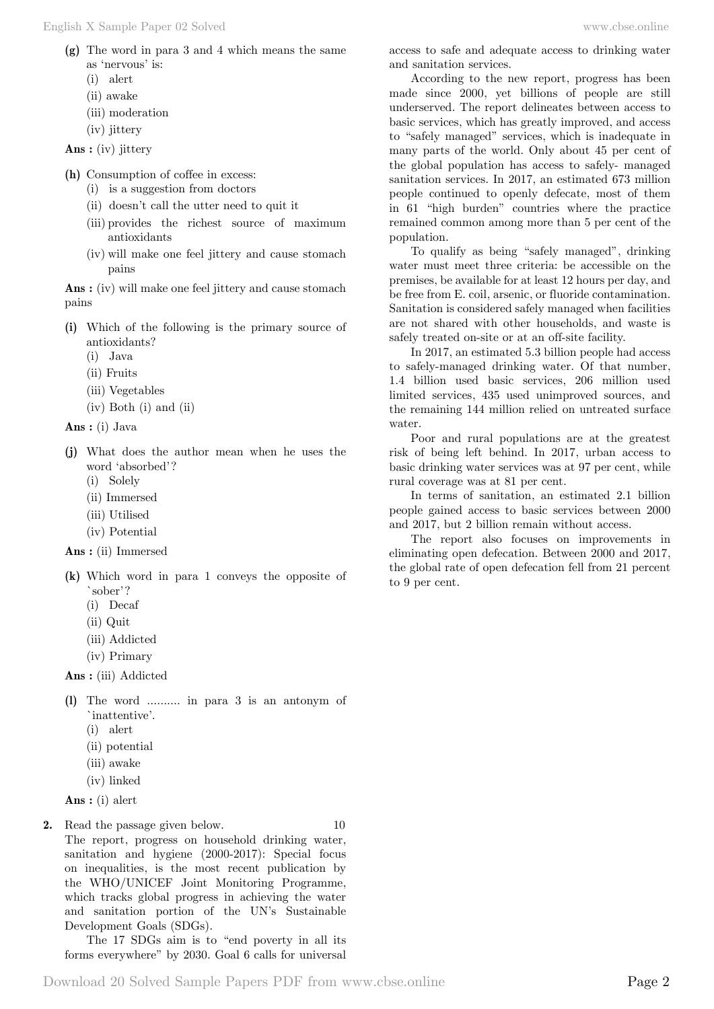- **(g)** The word in para 3 and 4 which means the same as 'nervous' is:
	- (i) alert
	- (ii) awake
	- (iii) moderation
	- (iv) jittery
- **Ans :** (iv) jittery
- **(h)** Consumption of coffee in excess:
	- (i) is a suggestion from doctors
	- (ii) doesn't call the utter need to quit it
	- (iii) provides the richest source of maximum antioxidants
	- (iv) will make one feel jittery and cause stomach pains

 **Ans :** (iv) will make one feel jittery and cause stomach pains

- **(i)** Which of the following is the primary source of antioxidants?
	- (i) Java
	- (ii) Fruits
	- (iii) Vegetables
	- (iv) Both (i) and (ii)
- **Ans :** (i) Java
- **(j)** What does the author mean when he uses the word 'absorbed'?
	- (i) Solely
	- (ii) Immersed
	- (iii) Utilised
	- (iv) Potential
- **Ans :** (ii) Immersed
- **(k)** Which word in para 1 conveys the opposite of `sober'?
	- (i) Decaf
	- (ii) Quit
	- (iii) Addicted
	- (iv) Primary

 **Ans :** (iii) Addicted

- **(l)** The word .......... in para 3 is an antonym of `inattentive'.
	- (i) alert
	- (ii) potential
	- (iii) awake
	- (iv) linked

 **Ans :** (i) alert

**2.** Read the passage given below. 10 The report, progress on household drinking water, sanitation and hygiene (2000-2017): Special focus on inequalities, is the most recent publication by the WHO/UNICEF Joint Monitoring Programme, which tracks global progress in achieving the water and sanitation portion of the UN's Sustainable Development Goals (SDGs).

The 17 SDGs aim is to "end poverty in all its forms everywhere" by 2030. Goal 6 calls for universal access to safe and adequate access to drinking water and sanitation services.

According to the new report, progress has been made since 2000, yet billions of people are still underserved. The report delineates between access to basic services, which has greatly improved, and access to "safely managed" services, which is inadequate in many parts of the world. Only about 45 per cent of the global population has access to safely- managed sanitation services. In 2017, an estimated 673 million people continued to openly defecate, most of them in 61 "high burden" countries where the practice remained common among more than 5 per cent of the population.

To qualify as being "safely managed", drinking water must meet three criteria: be accessible on the premises, be available for at least 12 hours per day, and be free from E. coil, arsenic, or fluoride contamination. Sanitation is considered safely managed when facilities are not shared with other households, and waste is safely treated on-site or at an off-site facility.

In 2017, an estimated 5.3 billion people had access to safely-managed drinking water. Of that number, 1.4 billion used basic services, 206 million used limited services, 435 used unimproved sources, and the remaining 144 million relied on untreated surface water.

Poor and rural populations are at the greatest risk of being left behind. In 2017, urban access to basic drinking water services was at 97 per cent, while rural coverage was at 81 per cent.

In terms of sanitation, an estimated 2.1 billion people gained access to basic services between 2000 and 2017, but 2 billion remain without access.

The report also focuses on improvements in eliminating open defecation. Between 2000 and 2017, the global rate of open defecation fell from 21 percent to 9 per cent.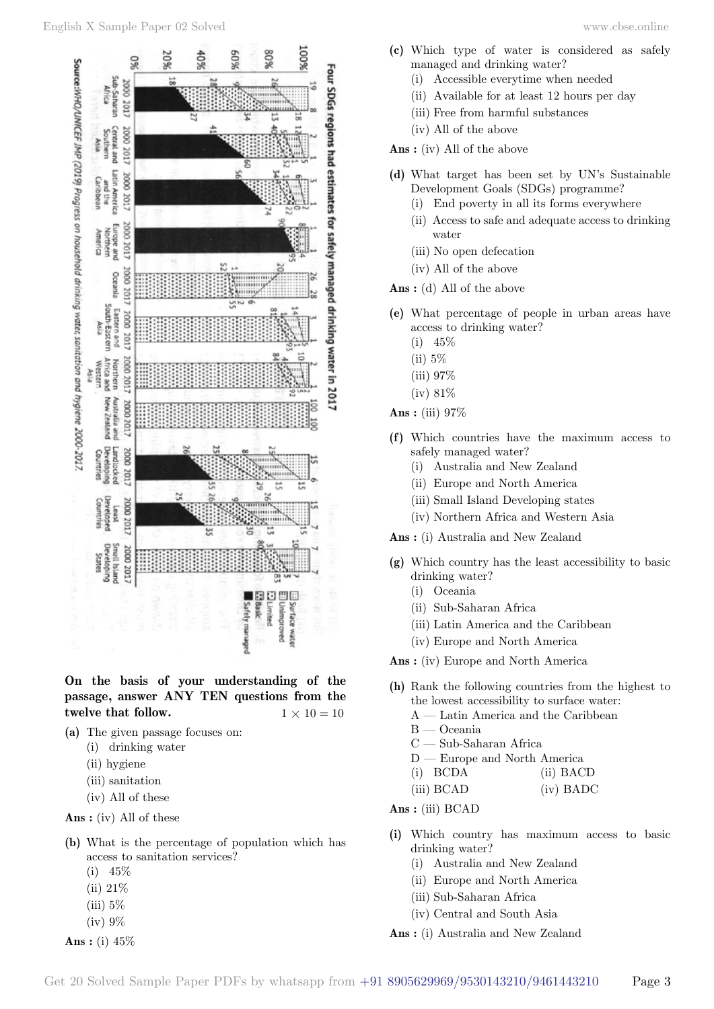

**On the basis of your understanding of the passage, answer ANY TEN questions from the twelve that follow.**  $1 \times 10 = 10$ 

**(a)** The given passage focuses on:

- (i) drinking water
- (ii) hygiene
- (iii) sanitation
- (iv) All of these
- **Ans :** (iv) All of these
- **(b)** What is the percentage of population which has access to sanitation services?
	- (i) 45%
	- (ii) 21%
	- $(iii)$  5%
	- (iv) 9%

 **Ans :** (i) 45%

- **(c)** Which type of water is considered as safely managed and drinking water?
	- (i) Accessible everytime when needed
	- (ii) Available for at least 12 hours per day
	- (iii) Free from harmful substances
	- (iv) All of the above

 **Ans :** (iv) All of the above

- **(d)** What target has been set by UN's Sustainable Development Goals (SDGs) programme?
	- (i) End poverty in all its forms everywhere
	- (ii) Access to safe and adequate access to drinking water
	- (iii) No open defecation
	- (iv) All of the above

 **Ans :** (d) All of the above

- **(e)** What percentage of people in urban areas have access to drinking water?
	- $(i)$  45\%
	- (ii) 5%
	- (iii) 97%
	- (iv) 81%

 **Ans :** (iii) 97%

- **(f)** Which countries have the maximum access to safely managed water?
	- (i) Australia and New Zealand
	- (ii) Europe and North America
	- (iii) Small Island Developing states
	- (iv) Northern Africa and Western Asia

 **Ans :** (i) Australia and New Zealand

- **(g)** Which country has the least accessibility to basic drinking water?
	- (i) Oceania
	- (ii) Sub-Saharan Africa
	- (iii) Latin America and the Caribbean
	- (iv) Europe and North America

 **Ans :** (iv) Europe and North America

- **(h)** Rank the following countries from the highest to the lowest accessibility to surface water:
	- A Latin America and the Caribbean
	- B Oceania
	- C Sub-Saharan Africa
	- D Europe and North America
	- (i) BCDA (ii) BACD
	- (iii) BCAD (iv) BADC

 **Ans :** (iii) BCAD

- **(i)** Which country has maximum access to basic drinking water?
	- (i) Australia and New Zealand
	- (ii) Europe and North America
	- (iii) Sub-Saharan Africa
	- (iv) Central and South Asia
- **Ans :** (i) Australia and New Zealand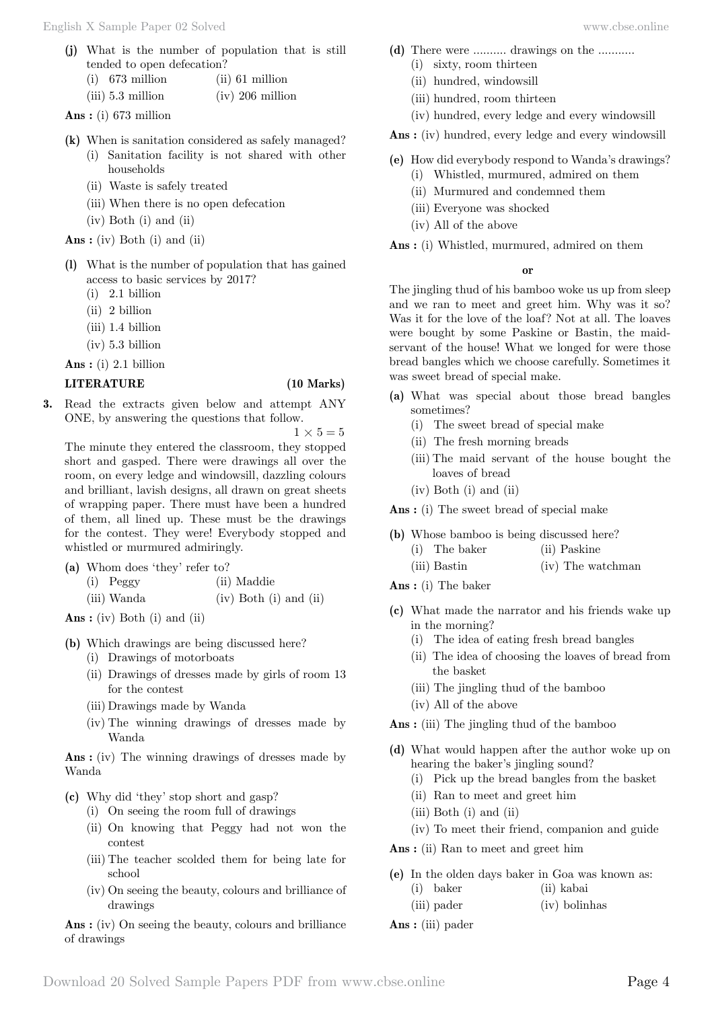- **(j)** What is the number of population that is still tended to open defecation?
	- (i) 673 million (ii) 61 million
	- (iii) 5.3 million (iv) 206 million

 **Ans :** (i) 673 million

- **(k)** When is sanitation considered as safely managed?
	- (i) Sanitation facility is not shared with other households
	- (ii) Waste is safely treated
	- (iii) When there is no open defecation
	- (iv) Both (i) and (ii)

 **Ans :** (iv) Both (i) and (ii)

- **(l)** What is the number of population that has gained access to basic services by 2017?
	- (i) 2.1 billion
	- (ii) 2 billion
	- (iii) 1.4 billion
	- (iv) 5.3 billion

 **Ans :** (i) 2.1 billion

## **LITERATURE (10 Marks)**

**3.** Read the extracts given below and attempt ANY ONE, by answering the questions that follow.

 $1 \times 5 = 5$ 

The minute they entered the classroom, they stopped short and gasped. There were drawings all over the room, on every ledge and windowsill, dazzling colours and brilliant, lavish designs, all drawn on great sheets of wrapping paper. There must have been a hundred of them, all lined up. These must be the drawings for the contest. They were! Everybody stopped and whistled or murmured admiringly.

**(a)** Whom does 'they' refer to?

(i) Peggy (ii) Maddie

(iii) Wanda (iv) Both (i) and (ii)

 **Ans :** (iv) Both (i) and (ii)

- **(b)** Which drawings are being discussed here?
	- (i) Drawings of motorboats
	- (ii) Drawings of dresses made by girls of room 13 for the contest
	- (iii) Drawings made by Wanda
	- (iv) The winning drawings of dresses made by Wanda

 **Ans :** (iv) The winning drawings of dresses made by Wanda

**(c)** Why did 'they' stop short and gasp?

- (i) On seeing the room full of drawings
- (ii) On knowing that Peggy had not won the contest
- (iii) The teacher scolded them for being late for school
- (iv) On seeing the beauty, colours and brilliance of drawings

 **Ans :** (iv) On seeing the beauty, colours and brilliance of drawings

- **(d)** There were .......... drawings on the ...........
	- (i) sixty, room thirteen
	- (ii) hundred, windowsill
	- (iii) hundred, room thirteen
	- (iv) hundred, every ledge and every windowsill

 **Ans :** (iv) hundred, every ledge and every windowsill

- **(e)** How did everybody respond to Wanda's drawings?
	- (i) Whistled, murmured, admired on them
	- (ii) Murmured and condemned them
	- (iii) Everyone was shocked
	- (iv) All of the above
- **Ans :** (i) Whistled, murmured, admired on them

### **o**

The jingling thud of his bamboo woke us up from sleep and we ran to meet and greet him. Why was it so? Was it for the love of the loaf? Not at all. The loaves were bought by some Paskine or Bastin, the maidservant of the house! What we longed for were those bread bangles which we choose carefully. Sometimes it was sweet bread of special make.

- **(a)** What was special about those bread bangles sometimes?
	- (i) The sweet bread of special make
	- (ii) The fresh morning breads
	- (iii) The maid servant of the house bought the loaves of bread
	- (iv) Both (i) and (ii)

 **Ans :** (i) The sweet bread of special make

- **(b)** Whose bamboo is being discussed here?
	- (i) The baker (ii) Paskine
	- (iii) Bastin (iv) The watchman
- **Ans :** (i) The baker
- **(c)** What made the narrator and his friends wake up in the morning?
	- (i) The idea of eating fresh bread bangles
	- (ii) The idea of choosing the loaves of bread from the basket
	- (iii) The jingling thud of the bamboo
	- (iv) All of the above
- **Ans :** (iii) The jingling thud of the bamboo
- **(d)** What would happen after the author woke up on hearing the baker's jingling sound?
	- (i) Pick up the bread bangles from the basket
	- (ii) Ran to meet and greet him
	- (iii) Both (i) and (ii)
	- (iv) To meet their friend, companion and guide
- **Ans :** (ii) Ran to meet and greet him
- **(e)** In the olden days baker in Goa was known as: (i) baker (ii) kabai
	- (iii) pader (iv) bolinhas
- **Ans :** (iii) pader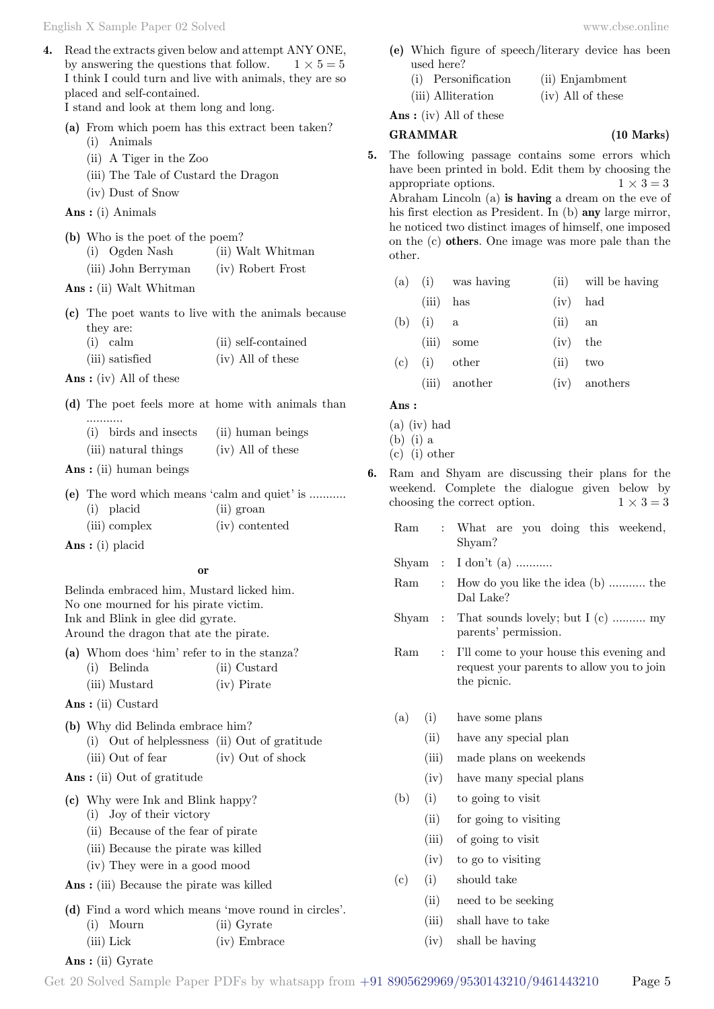English X Sample Paper 02 Solved [www.cbse.online](http://www.cbse.online) 

**4.** Read the extracts given below and attempt ANY ONE, by answering the questions that follow.  $1 \times 5 = 5$ I think I could turn and live with animals, they are so placed and self-contained.

I stand and look at them long and long.

- **(a)** From which poem has this extract been taken?
	- (i) Animals
	- (ii) A Tiger in the Zoo
	- (iii) The Tale of Custard the Dragon
	- (iv) Dust of Snow
- **Ans :** (i) Animals
- **(b)** Who is the poet of the poem?
	- (i) Ogden Nash (ii) Walt Whitman (iii) John Berryman (iv) Robert Frost
- **Ans :** (ii) Walt Whitman
- **(c)** The poet wants to live with the animals because they are:
	- (i) calm (ii) self-contained (iii) satisfied (iv) All of these
- **Ans :** (iv) All of these
- **(d)** The poet feels more at home with animals than ...........
	- (i) birds and insects (ii) human beings (iii) natural things (iv) All of these
- **Ans :** (ii) human beings
- **(e)** The word which means 'calm and quiet' is ........... (i) placid (ii) groan (iii) complex (iv) contented

 **Ans :** (i) placid

#### **o**

Belinda embraced him, Mustard licked him. No one mourned for his pirate victim. Ink and Blink in glee did gyrate. Around the dragon that ate the pirate.

|  | (a) Whom does 'him' refer to in the stanza? |              |
|--|---------------------------------------------|--------------|
|  | (i) Belinda                                 | (ii) Custard |
|  | (iii) Mustard                               | (iv) Pirate  |

- **Ans :** (ii) Custard
- **(b)** Why did Belinda embrace him? (i) Out of helplessness (ii) Out of gratitude (iii) Out of fear (iv) Out of shock
- **Ans :** (ii) Out of gratitude
- **(c)** Why were Ink and Blink happy?
	- (i) Joy of their victory
	- (ii) Because of the fear of pirate
	- (iii) Because the pirate was killed
	- (iv) They were in a good mood
- **Ans :** (iii) Because the pirate was killed
- **(d)** Find a word which means 'move round in circles'. (i) Mourn (ii) Gyrate
	- (iii) Lick (iv) Embrace
- **Ans :** (ii) Gyrate
- **(e)** Which figure of speech/literary device has been used here?
	- (i) Personification (ii) Enjambment (iii) Alliteration (iv) All of these

 **Ans :** (iv) All of these

### **GRAMMAR (10 Marks)**

- **5.** The following passage contains some errors which have been printed in bold. Edit them by choosing the appropriate options.  $1 \times 3 = 3$ Abraham Lincoln (a) **is having** a dream on the eve of his first election as President. In (b) **any** large mirror, he noticed two distinct images of himself, one imposed on the (c) **others**. One image was more pale than the other.
	- (a) (i) was having (ii) will be having
		- (iii) has (iv) had
	- (b) (i) a (ii) an
	- (iii) some (iv) the
	- (c) (i) other (ii) two
		- (iii) another (iv) anothers

#### **Ans :**

- (a) (iv) had
- (b) (i) a
- (c) (i) other
- **6.** Ram and Shyam are discussing their plans for the weekend. Complete the dialogue given below by choosing the correct option.  $1 \times 3 = 3$ 
	- Ram : What are you doing this weekend, Shyam?
	- Shyam : I don't (a) ...........
	- Ram : How do you like the idea (b) ........... the Dal Lake?
	- Shyam : That sounds lovely; but I (c) .......... my parents' permission.
	- Ram : I'll come to your house this evening and request your parents to allow you to join the picnic.
	- (a) (i) have some plans
		- (ii) have any special plan
		- (iii) made plans on weekends
		- (iv) have many special plans
	- (b) (i) to going to visit
		- (ii) for going to visiting
		- (iii) of going to visit
		- (iv) to go to visiting
	- (c) (i) should take
		- (ii) need to be seeking
		- (iii) shall have to take
		- (iv) shall be having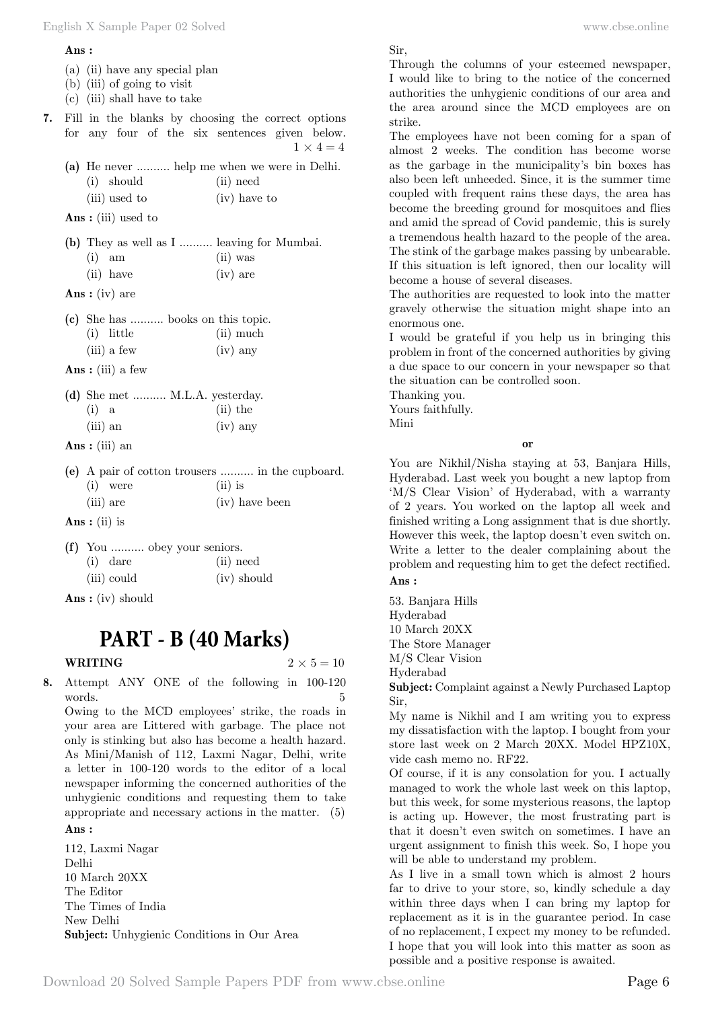#### **Ans :**

- (a) (ii) have any special plan
- (b) (iii) of going to visit
- (c) (iii) shall have to take
- **7.** Fill in the blanks by choosing the correct options for any four of the six sentences given below.  $1 \times 4 = 4$ 
	- **(a)** He never .......... help me when we were in Delhi. (i) should (ii) need (iii) used to (iv) have to

 **Ans :** (iii) used to

|          | (b) They as well as I  leaving for Mumbai. |            |  |
|----------|--------------------------------------------|------------|--|
| $(i)$ am |                                            | $(ii)$ was |  |
|          | $(ii)$ have                                | $(iv)$ are |  |

 **Ans :** (iv) are

|  | (c) She has  books on this topic. |  |            |             |
|--|-----------------------------------|--|------------|-------------|
|  | $(i)$ little                      |  |            | $(ii)$ much |
|  | $(iii)$ a few                     |  | $(iv)$ any |             |

 **Ans :** (iii) a few

|            | (d) She met  M.L.A. yesterday. |            |
|------------|--------------------------------|------------|
| $(i)$ a    |                                | $(ii)$ the |
| $(iii)$ an |                                | $(iv)$ any |

- **Ans :** (iii) an
- **(e)** A pair of cotton trousers .......... in the cupboard. (i) were (ii) is (iii) are (iv) have been

 **Ans :** (ii) is

- **(f)** You .......... obey your seniors. (i) dare (ii) need (iii) could (iv) should
- **Ans :** (iv) should

# **PART - B (40 Marks)**

**WRITING**  $2 \times 5 = 10$ 

**8.** Attempt ANY ONE of the following in 100-120 words. 5 Owing to the MCD employees' strike, the roads in

your area are Littered with garbage. The place not only is stinking but also has become a health hazard. As Mini/Manish of 112, Laxmi Nagar, Delhi, write a letter in 100-120 words to the editor of a local newspaper informing the concerned authorities of the unhygienic conditions and requesting them to take appropriate and necessary actions in the matter. (5)

## **Ans :**

112, Laxmi Nagar Delhi 10 March 20XX The Editor The Times of India New Delhi **Subject:** Unhygienic Conditions in Our Area Sir,

Through the columns of your esteemed newspaper, I would like to bring to the notice of the concerned authorities the unhygienic conditions of our area and the area around since the MCD employees are on strike.

The employees have not been coming for a span of almost 2 weeks. The condition has become worse as the garbage in the municipality's bin boxes has also been left unheeded. Since, it is the summer time coupled with frequent rains these days, the area has become the breeding ground for mosquitoes and flies and amid the spread of Covid pandemic, this is surely a tremendous health hazard to the people of the area. The stink of the garbage makes passing by unbearable. If this situation is left ignored, then our locality will become a house of several diseases.

The authorities are requested to look into the matter gravely otherwise the situation might shape into an enormous one.

I would be grateful if you help us in bringing this problem in front of the concerned authorities by giving a due space to our concern in your newspaper so that the situation can be controlled soon.

Thanking you.

Yours faithfully.

Mini

## **o**

You are Nikhil/Nisha staying at 53, Banjara Hills, Hyderabad. Last week you bought a new laptop from 'M/S Clear Vision' of Hyderabad, with a warranty of 2 years. You worked on the laptop all week and finished writing a Long assignment that is due shortly. However this week, the laptop doesn't even switch on. Write a letter to the dealer complaining about the problem and requesting him to get the defect rectified.  **Ans :**

53. Banjara Hills Hyderabad 10 March 20XX The Store Manager M/S Clear Vision Hyderabad

**Subject:** Complaint against a Newly Purchased Laptop Sir,

My name is Nikhil and I am writing you to express my dissatisfaction with the laptop. I bought from your store last week on 2 March 20XX. Model HPZ10X, vide cash memo no. RF22.

Of course, if it is any consolation for you. I actually managed to work the whole last week on this laptop, but this week, for some mysterious reasons, the laptop is acting up. However, the most frustrating part is that it doesn't even switch on sometimes. I have an urgent assignment to finish this week. So, I hope you will be able to understand my problem.

As I live in a small town which is almost 2 hours far to drive to your store, so, kindly schedule a day within three days when I can bring my laptop for replacement as it is in the guarantee period. In case of no replacement, I expect my money to be refunded. I hope that you will look into this matter as soon as possible and a positive response is awaited.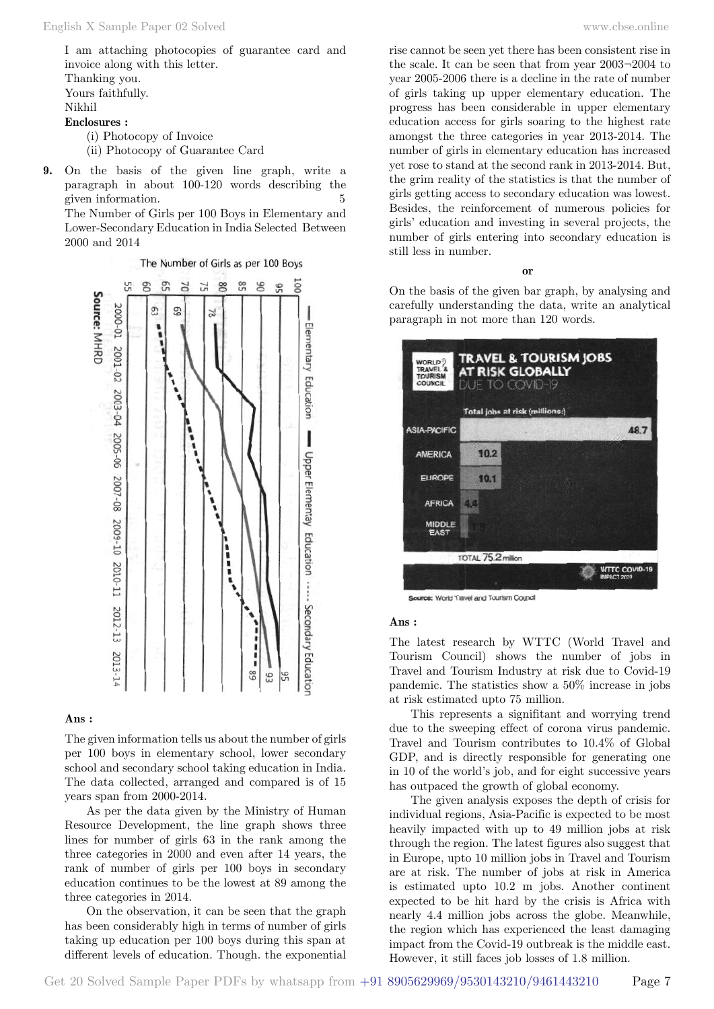I am attaching photocopies of guarantee card and invoice along with this letter. Thanking you. Yours faithfully. Nikhil **Enclosures :** (i) Photocopy of Invoice

(ii) Photocopy of Guarantee Card

**9.** On the basis of the given line graph, write a paragraph in about 100-120 words describing the given information. 5 The Number of Girls per 100 Boys in Elementary and Lower-Secondary Education in India Selected Between 2000 and 2014

> The Number of Girls as per 100 Boys ā 5ú  $98$  $rac{00}{50}$ 9 9 c, 70  $\overline{L}$ Source: MHRD 2000-01 2001-02 ğ, ă Elementary Education 2003-04 2005-06 2007-08 2009-10 Upper Elementay Education ...... Secondary Education i 2010-11 2012-13 2013-14 68  $\frac{6}{2}$

#### **Ans :**

The given information tells us about the number of girls per 100 boys in elementary school, lower secondary school and secondary school taking education in India. The data collected, arranged and compared is of 15 years span from 2000-2014.

As per the data given by the Ministry of Human Resource Development, the line graph shows three lines for number of girls 63 in the rank among the three categories in 2000 and even after 14 years, the rank of number of girls per 100 boys in secondary education continues to be the lowest at 89 among the three categories in 2014.

On the observation, it can be seen that the graph has been considerably high in terms of number of girls taking up education per 100 boys during this span at different levels of education. Though. the exponential

rise cannot be seen yet there has been consistent rise in the scale. It can be seen that from year 2003¬2004 to year 2005-2006 there is a decline in the rate of number of girls taking up upper elementary education. The progress has been considerable in upper elementary education access for girls soaring to the highest rate amongst the three categories in year 2013-2014. The number of girls in elementary education has increased yet rose to stand at the second rank in 2013-2014. But, the grim reality of the statistics is that the number of girls getting access to secondary education was lowest. Besides, the reinforcement of numerous policies for girls' education and investing in several projects, the number of girls entering into secondary education is still less in number.

#### **o**

On the basis of the given bar graph, by analysing and carefully understanding the data, write an analytical paragraph in not more than 120 words.



Source: World Travel and Tourism Council

#### **Ans :**

The latest research by WTTC (World Travel and Tourism Council) shows the number of jobs in Travel and Tourism Industry at risk due to Covid-19 pandemic. The statistics show a 50% increase in jobs at risk estimated upto 75 million.

This represents a signifitant and worrying trend due to the sweeping effect of corona virus pandemic. Travel and Tourism contributes to 10.4% of Global GDP, and is directly responsible for generating one in 10 of the world's job, and for eight successive years has outpaced the growth of global economy.

The given analysis exposes the depth of crisis for individual regions, Asia-Pacific is expected to be most heavily impacted with up to 49 million jobs at risk through the region. The latest figures also suggest that in Europe, upto 10 million jobs in Travel and Tourism are at risk. The number of jobs at risk in America is estimated upto 10.2 m jobs. Another continent expected to be hit hard by the crisis is Africa with nearly 4.4 million jobs across the globe. Meanwhile, the region which has experienced the least damaging impact from the Covid-19 outbreak is the middle east. However, it still faces job losses of 1.8 million.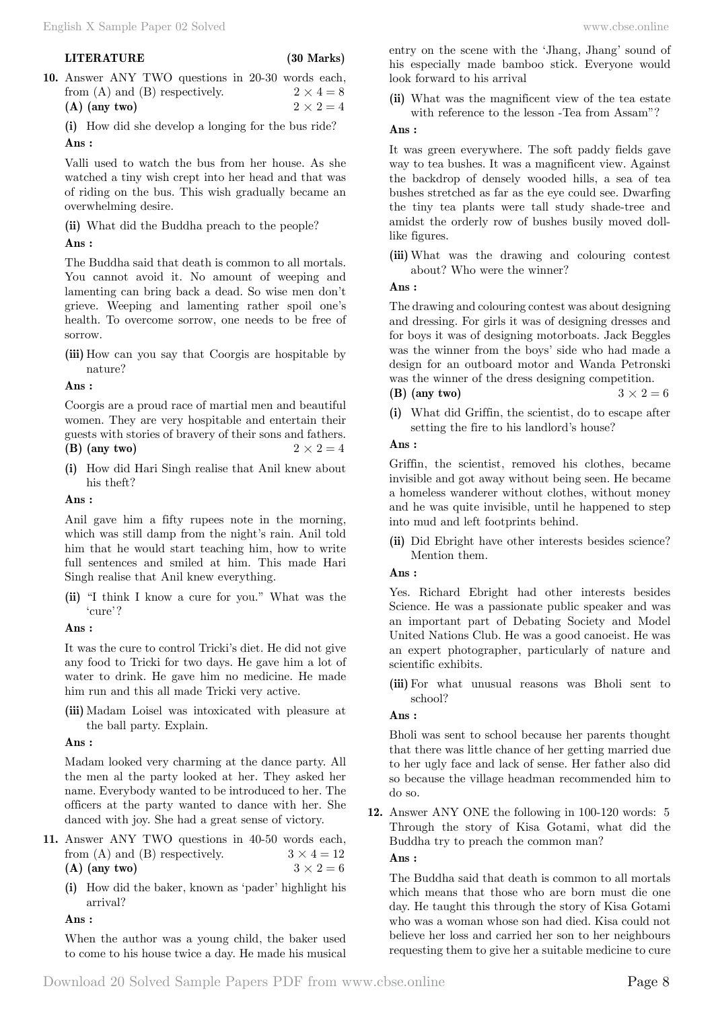**10.** Answer ANY TWO questions in 20-30 words each, from (A) and (B) respectively.  $2 \times 4 = 8$ **(A)** (any two)  $2 \times 2 = 4$ 

**(i)** How did she develop a longing for the bus ride?  **Ans :**

Valli used to watch the bus from her house. As she watched a tiny wish crept into her head and that was of riding on the bus. This wish gradually became an overwhelming desire.

**(ii)** What did the Buddha preach to the people?

## **Ans :**

The Buddha said that death is common to all mortals. You cannot avoid it. No amount of weeping and lamenting can bring back a dead. So wise men don't grieve. Weeping and lamenting rather spoil one's health. To overcome sorrow, one needs to be free of sorrow.

**(iii)** How can you say that Coorgis are hospitable by nature?

## **Ans :**

Coorgis are a proud race of martial men and beautiful women. They are very hospitable and entertain their guests with stories of bravery of their sons and fathers.

- **(B)** (any two)  $2 \times 2 = 4$
- **(i)** How did Hari Singh realise that Anil knew about his theft?

## **Ans :**

Anil gave him a fifty rupees note in the morning, which was still damp from the night's rain. Anil told him that he would start teaching him, how to write full sentences and smiled at him. This made Hari Singh realise that Anil knew everything.

**(ii)** "I think I know a cure for you." What was the 'cure'?

 **Ans :**

It was the cure to control Tricki's diet. He did not give any food to Tricki for two days. He gave him a lot of water to drink. He gave him no medicine. He made him run and this all made Tricki very active.

**(iii)** Madam Loisel was intoxicated with pleasure at the ball party. Explain.

## **Ans :**

Madam looked very charming at the dance party. All the men al the party looked at her. They asked her name. Everybody wanted to be introduced to her. The officers at the party wanted to dance with her. She danced with joy. She had a great sense of victory.

- **11.** Answer ANY TWO questions in 40-50 words each, from (A) and (B) respectively.  $3 \times 4 = 12$ **(A)** (any two)  $3 \times 2 = 6$ 
	- **(i)** How did the baker, known as 'pader' highlight his arrival?

## **Ans :**

When the author was a young child, the baker used to come to his house twice a day. He made his musical

entry on the scene with the 'Jhang, Jhang' sound of his especially made bamboo stick. Everyone would look forward to his arrival

**(ii)** What was the magnificent view of the tea estate with reference to the lesson -Tea from Assam"?

## **Ans :**

It was green everywhere. The soft paddy fields gave way to tea bushes. It was a magnificent view. Against the backdrop of densely wooded hills, a sea of tea bushes stretched as far as the eye could see. Dwarfing the tiny tea plants were tall study shade-tree and amidst the orderly row of bushes busily moved dolllike figures.

**(iii)** What was the drawing and colouring contest about? Who were the winner?

## **Ans :**

The drawing and colouring contest was about designing and dressing. For girls it was of designing dresses and for boys it was of designing motorboats. Jack Beggles was the winner from the boys' side who had made a design for an outboard motor and Wanda Petronski was the winner of the dress designing competition. **(B)** (any two)  $3 \times 2 = 6$ 

**(i)** What did Griffin, the scientist, do to escape after setting the fire to his landlord's house?

## **Ans :**

Griffin, the scientist, removed his clothes, became invisible and got away without being seen. He became a homeless wanderer without clothes, without money and he was quite invisible, until he happened to step into mud and left footprints behind.

**(ii)** Did Ebright have other interests besides science? Mention them.

## **Ans :**

Yes. Richard Ebright had other interests besides Science. He was a passionate public speaker and was an important part of Debating Society and Model United Nations Club. He was a good canoeist. He was an expert photographer, particularly of nature and scientific exhibits.

**(iii)** For what unusual reasons was Bholi sent to school?

## **Ans :**

Bholi was sent to school because her parents thought that there was little chance of her getting married due to her ugly face and lack of sense. Her father also did so because the village headman recommended him to do so.

**12.** Answer ANY ONE the following in 100-120 words: 5 Through the story of Kisa Gotami, what did the Buddha try to preach the common man?  **Ans :**

The Buddha said that death is common to all mortals which means that those who are born must die one day. He taught this through the story of Kisa Gotami who was a woman whose son had died. Kisa could not believe her loss and carried her son to her neighbours requesting them to give her a suitable medicine to cure